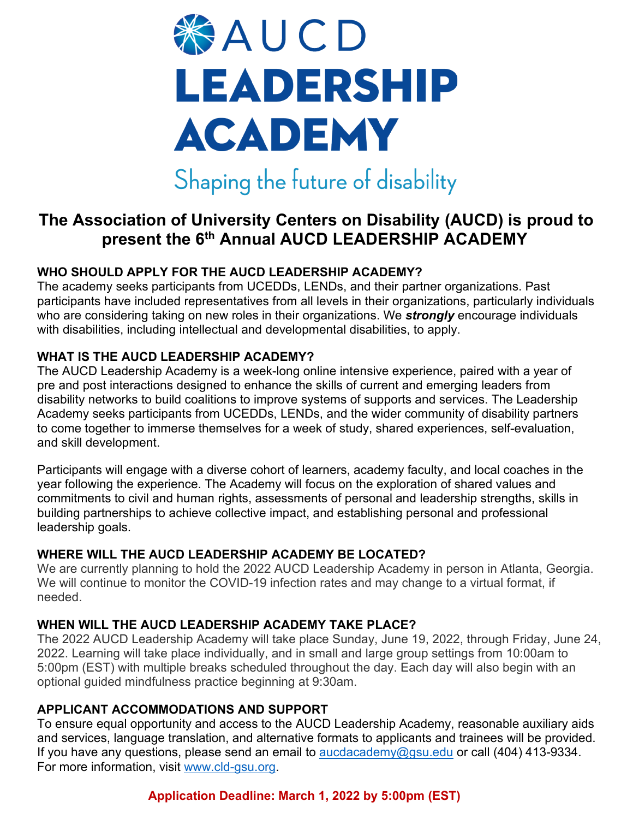

# **The Association of University Centers on Disability (AUCD) is proud to present the 6th Annual AUCD LEADERSHIP ACADEMY**

## **WHO SHOULD APPLY FOR THE AUCD LEADERSHIP ACADEMY?**

The academy seeks participants from UCEDDs, LENDs, and their partner organizations. Past participants have included representatives from all levels in their organizations, particularly individuals who are considering taking on new roles in their organizations. We *strongly* encourage individuals with disabilities, including intellectual and developmental disabilities, to apply.

#### **WHAT IS THE AUCD LEADERSHIP ACADEMY?**

The AUCD Leadership Academy is a week-long online intensive experience, paired with a year of pre and post interactions designed to enhance the skills of current and emerging leaders from disability networks to build coalitions to improve systems of supports and services. The Leadership Academy seeks participants from UCEDDs, LENDs, and the wider community of disability partners to come together to immerse themselves for a week of study, shared experiences, self-evaluation, and skill development.

Participants will engage with a diverse cohort of learners, academy faculty, and local coaches in the year following the experience. The Academy will focus on the exploration of shared values and commitments to civil and human rights, assessments of personal and leadership strengths, skills in building partnerships to achieve collective impact, and establishing personal and professional leadership goals.

#### **WHERE WILL THE AUCD LEADERSHIP ACADEMY BE LOCATED?**

We are currently planning to hold the 2022 AUCD Leadership Academy in person in Atlanta, Georgia. We will continue to monitor the COVID-19 infection rates and may change to a virtual format, if needed.

## **WHEN WILL THE AUCD LEADERSHIP ACADEMY TAKE PLACE?**

The 2022 AUCD Leadership Academy will take place Sunday, June 19, 2022, through Friday, June 24, 2022. Learning will take place individually, and in small and large group settings from 10:00am to 5:00pm (EST) with multiple breaks scheduled throughout the day. Each day will also begin with an optional guided mindfulness practice beginning at 9:30am.

#### **APPLICANT ACCOMMODATIONS AND SUPPORT**

To ensure equal opportunity and access to the AUCD Leadership Academy, reasonable auxiliary aids and services, language translation, and alternative formats to applicants and trainees will be provided. If you have any questions, please send an email to  $aucdacademy@gsu.edu$  or call (404) 413-9334. For more information, visit [www.cld-gsu.org.](http://www.cld-gsu.org/)

## **Application Deadline: March 1, 2022 by 5:00pm (EST)**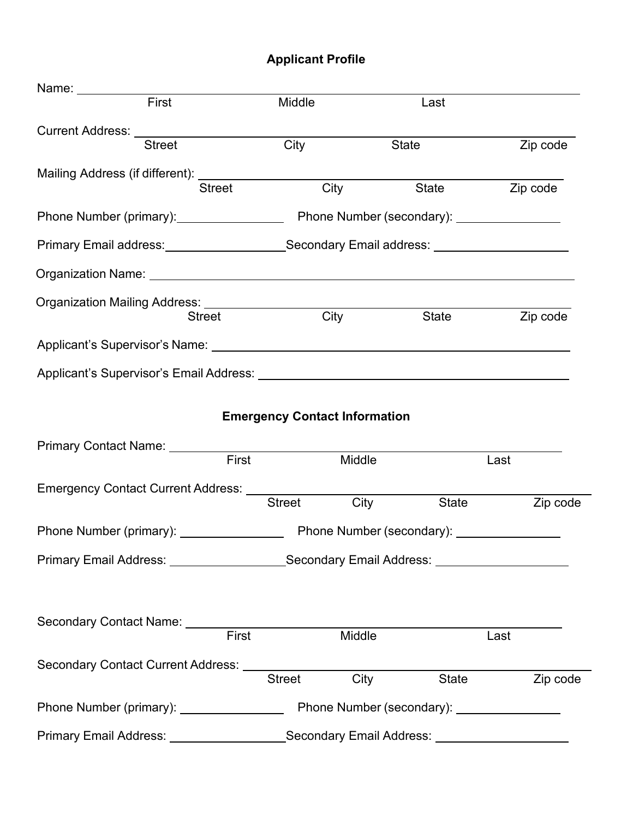## **Applicant Profile**

| Name: __________                                                                                                     |                                                                                                     |                  |       |          |
|----------------------------------------------------------------------------------------------------------------------|-----------------------------------------------------------------------------------------------------|------------------|-------|----------|
| First                                                                                                                | Middle                                                                                              |                  | Last  |          |
| Current Address: _______________________                                                                             |                                                                                                     |                  |       |          |
| Street                                                                                                               | City                                                                                                |                  | State | Zip code |
| Mailing Address (if different): ___________________                                                                  |                                                                                                     |                  |       |          |
| <b>Street</b>                                                                                                        |                                                                                                     | <b>City City</b> | State | Zip code |
|                                                                                                                      | Phone Number (primary): Phone Number (secondary): ______________________________                    |                  |       |          |
|                                                                                                                      | Primary Email address: ________________________Secondary Email address: ___________________________ |                  |       |          |
|                                                                                                                      |                                                                                                     |                  |       |          |
| Organization Mailing Address: ___________________                                                                    |                                                                                                     |                  |       |          |
| <b>Street</b>                                                                                                        | City                                                                                                |                  | State | Zip code |
| Applicant's Supervisor's Name: Applicant of the Supervisor's Name:                                                   |                                                                                                     |                  |       |          |
| Applicant's Supervisor's Email Address: National According to the Control of Applicant's Supervisor's Email Address: |                                                                                                     |                  |       |          |
|                                                                                                                      |                                                                                                     |                  |       |          |
|                                                                                                                      | <b>Emergency Contact Information</b>                                                                |                  |       |          |
| Primary Contact Name: _______                                                                                        |                                                                                                     |                  |       |          |
| First                                                                                                                |                                                                                                     | Middle           |       | Last     |
| Emergency Contact Current Address: ________                                                                          |                                                                                                     |                  |       |          |
|                                                                                                                      | <b>Street</b>                                                                                       | City             | State | Zip code |
|                                                                                                                      |                                                                                                     |                  |       |          |
|                                                                                                                      | Primary Email Address: _____________________Secondary Email Address: ____________                   |                  |       |          |
|                                                                                                                      |                                                                                                     |                  |       |          |
|                                                                                                                      |                                                                                                     |                  |       |          |
| Secondary Contact Name: First                                                                                        |                                                                                                     | Middle           |       | Last     |
|                                                                                                                      |                                                                                                     |                  |       |          |
|                                                                                                                      | <b>Street</b>                                                                                       | <b>City</b>      | State | Zip code |
| Phone Number (primary): _________________                                                                            | Phone Number (secondary): ________________                                                          |                  |       |          |
|                                                                                                                      | Primary Email Address: ___________________Secondary Email Address: _____________                    |                  |       |          |
|                                                                                                                      |                                                                                                     |                  |       |          |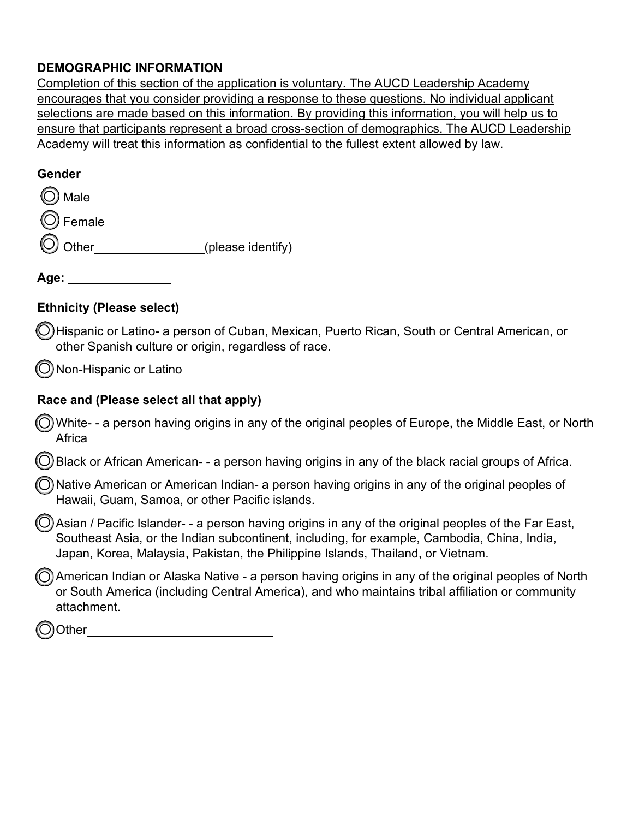## **DEMOGRAPHIC INFORMATION**

Completion of this section of the application is voluntary. The AUCD Leadership Academy encourages that you consider providing a response to these questions. No individual applicant selections are made based on this information. By providing this information, you will help us to ensure that participants represent a broad cross-section of demographics. The AUCD Leadership Academy will treat this information as confidential to the fullest extent allowed by law.

#### **Gender**

| ◯ Male        |                   |
|---------------|-------------------|
| O Female      |                   |
| $\odot$ Other | (please identify) |
|               |                   |

**Age:**

#### **Ethnicity (Please select)**

O Hispanic or Latino- a person of Cuban, Mexican, Puerto Rican, South or Central American, or other Spanish culture or origin, regardless of race.

 $\bigcirc$  Non-Hispanic or Latino

#### **Race and (Please select all that apply)**

White- - a person having origins in any of the original peoples of Europe, the Middle East, or North Africa o

Black or African American- - a person having origins in any of the black racial groups of Africa. o

O Native American or American Indian- a person having origins in any of the original peoples of<br>Hawaji, Guam, Samoa, er other Bacific islands Hawaii, Guam, Samoa, or other Pacific islands.

O Asian / Pacific Islander- - a person having origins in any of the original peoples of the Far East, China India Southeast Asia, or the Indian subcontinent, including, for example, Cambodia, China, India, Japan, Korea, Malaysia, Pakistan, the Philippine Islands, Thailand, or Vietnam.

American Indian or Alaska Native - a person having origins in any of the original peoples of North (Capital of<br>Or South America (including Central America), and who maintains tribal affiliation or community or South America (including Central America), and who maintains tribal affiliation or community attachment.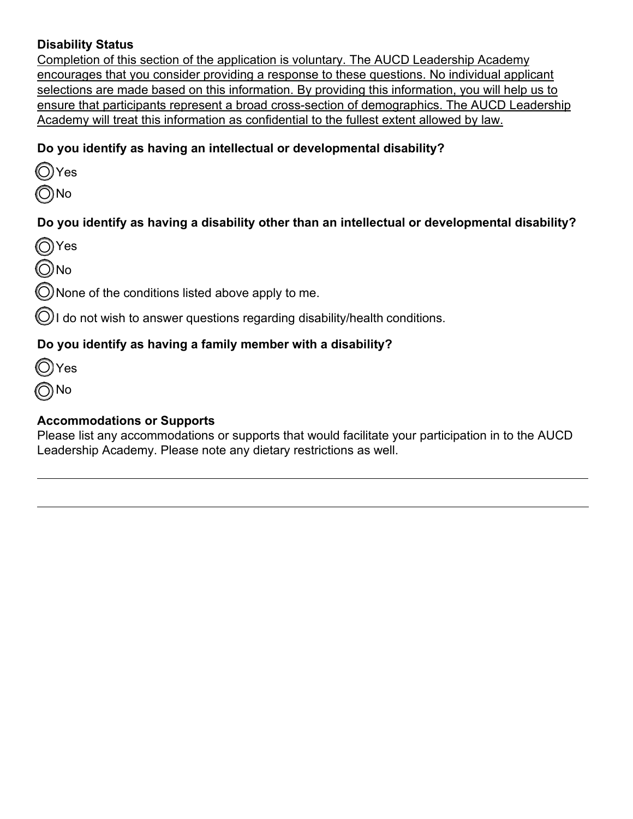## **Disability Status**

Completion of this section of the application is voluntary. The AUCD Leadership Academy encourages that you consider providing a response to these questions. No individual applicant selections are made based on this information. By providing this information, you will help us to ensure that participants represent a broad cross-section of demographics. The AUCD Leadership Academy will treat this information as confidential to the fullest extent allowed by law.

## **Do you identify as having an intellectual or developmental disability?**

| Y<br>AS |
|---------|
|         |

o No

## **Do you identify as having a disability other than an intellectual or developmental disability?**

Yes o

No o

 $\bigcirc$  None of the conditions listed above apply to me.

 $\bigcirc$  I do not wish to answer questions regarding disability/health conditions.

## **Do you identify as having a family member with a disability?**

 $\bigcirc$  Yes

No o

## **Accommodations or Supports**

Please list any accommodations or supports that would facilitate your participation in to the AUCD Leadership Academy. Please note any dietary restrictions as well.